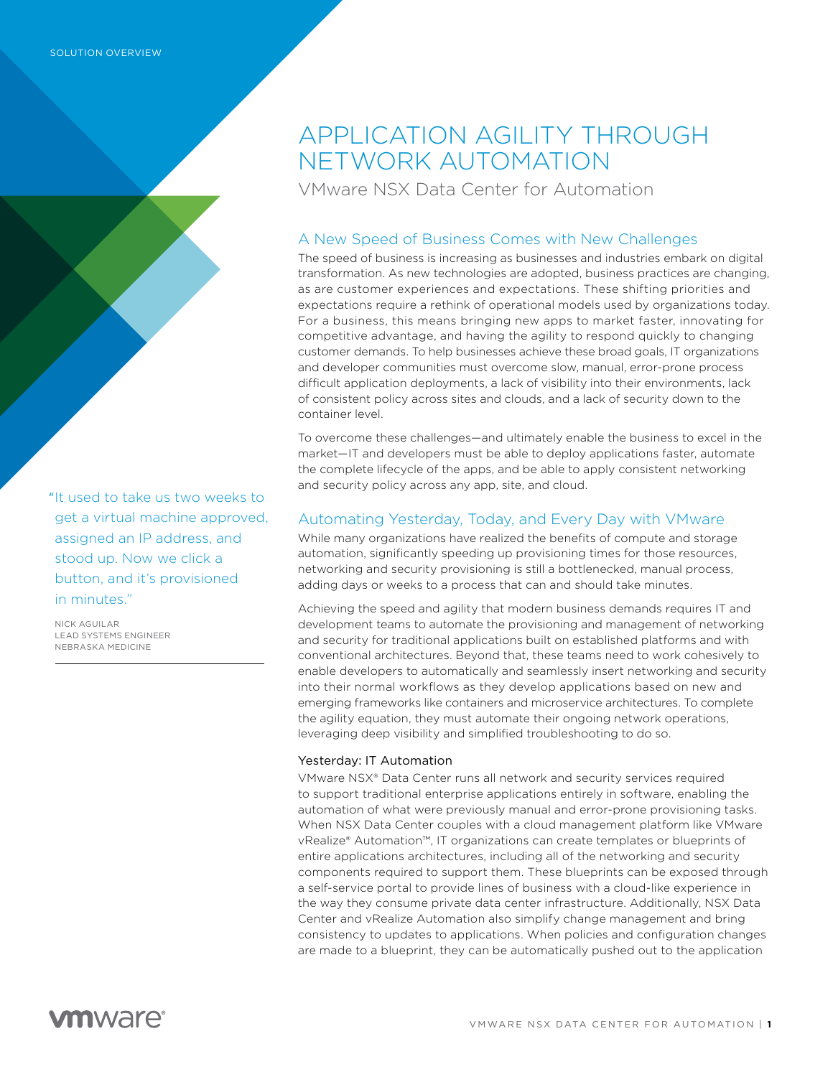APPLICATION AGILITY THROUGH NETWORK AUTOMATION

VMware NSX Data Center for Automation

# A New Speed of Business Comes with New Challenges

The speed of business is increasing as businesses and industries embark on digital transformation. As new technologies are adopted, business practices are changing, as are customer experiences and expectations. These shifting priorities and expectations require a rethink of operational models used by organizations today. For a business, this means bringing new apps to market faster, innovating for competitive advantage, and having the agility to respond quickly to changing customer demands. To help businesses achieve these broad goals, IT organizations and developer communities must overcome slow, manual, error-prone process difficult application deployments, a lack of visibility into their environments, lack of consistent policy across sites and clouds, and a lack of security down to the container level.

To overcome these challenges—and ultimately enable the business to excel in the market—IT and developers must be able to deploy applications faster, automate the complete lifecycle of the apps, and be able to apply consistent networking and security policy across any app, site, and cloud.

# Automating Yesterday, Today, and Every Day with VMware

While many organizations have realized the benefits of compute and storage automation, significantly speeding up provisioning times for those resources, networking and security provisioning is still a bottlenecked, manual process, adding days or weeks to a process that can and should take minutes.

Achieving the speed and agility that modern business demands requires IT and development teams to automate the provisioning and management of networking and security for traditional applications built on established platforms and with conventional architectures. Beyond that, these teams need to work cohesively to enable developers to automatically and seamlessly insert networking and security into their normal workflows as they develop applications based on new and emerging frameworks like containers and microservice architectures. To complete the agility equation, they must automate their ongoing network operations, leveraging deep visibility and simplified troubleshooting to do so.

## Yesterday: IT Automation

VMware NSX® Data Center runs all network and security services required to support traditional enterprise applications entirely in software, enabling the automation of what were previously manual and error-prone provisioning tasks. When NSX Data Center couples with a cloud management platform like VMware vRealize® Automation™, IT organizations can create templates or blueprints of entire applications architectures, including all of the networking and security components required to support them. These blueprints can be exposed through a self-service portal to provide lines of business with a cloud-like experience in the way they consume private data center infrastructure. Additionally, NSX Data Center and vRealize Automation also simplify change management and bring consistency to updates to applications. When policies and configuration changes are made to a blueprint, they can be automatically pushed out to the application

"It used to take us two weeks to get a virtual machine approved, assigned an IP address, and stood up. Now we click a button, and it's provisioned in minutes."

NICK AGUILAR LEAD SYSTEMS ENGINEER NEBRASKA MEDICINE